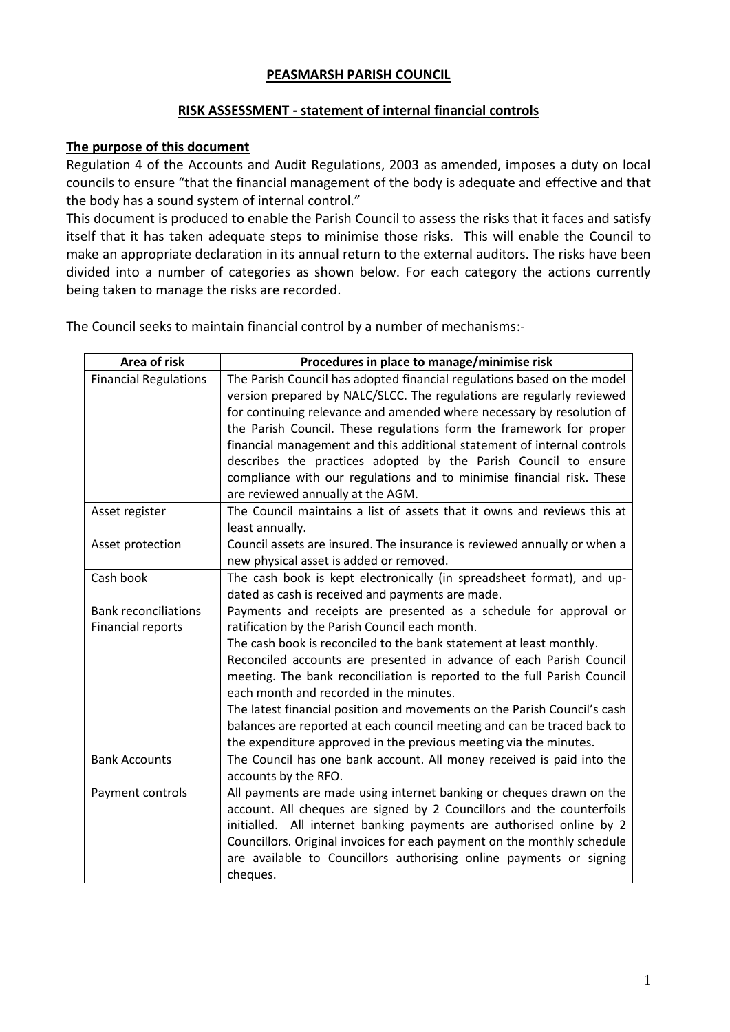## **PEASMARSH PARISH COUNCIL**

## **RISK ASSESSMENT - statement of internal financial controls**

## **The purpose of this document**

Regulation 4 of the Accounts and Audit Regulations, 2003 as amended, imposes a duty on local councils to ensure "that the financial management of the body is adequate and effective and that the body has a sound system of internal control."

This document is produced to enable the Parish Council to assess the risks that it faces and satisfy itself that it has taken adequate steps to minimise those risks. This will enable the Council to make an appropriate declaration in its annual return to the external auditors. The risks have been divided into a number of categories as shown below. For each category the actions currently being taken to manage the risks are recorded.

The Council seeks to maintain financial control by a number of mechanisms:-

| Area of risk                 | Procedures in place to manage/minimise risk                                                                        |
|------------------------------|--------------------------------------------------------------------------------------------------------------------|
| <b>Financial Regulations</b> | The Parish Council has adopted financial regulations based on the model                                            |
|                              | version prepared by NALC/SLCC. The regulations are regularly reviewed                                              |
|                              | for continuing relevance and amended where necessary by resolution of                                              |
|                              | the Parish Council. These regulations form the framework for proper                                                |
|                              | financial management and this additional statement of internal controls                                            |
|                              | describes the practices adopted by the Parish Council to ensure                                                    |
|                              | compliance with our regulations and to minimise financial risk. These                                              |
|                              | are reviewed annually at the AGM.                                                                                  |
| Asset register               | The Council maintains a list of assets that it owns and reviews this at                                            |
|                              | least annually.                                                                                                    |
| Asset protection             | Council assets are insured. The insurance is reviewed annually or when a                                           |
|                              | new physical asset is added or removed.                                                                            |
| Cash book                    | The cash book is kept electronically (in spreadsheet format), and up-                                              |
|                              | dated as cash is received and payments are made.                                                                   |
| <b>Bank reconciliations</b>  | Payments and receipts are presented as a schedule for approval or                                                  |
| <b>Financial reports</b>     | ratification by the Parish Council each month.                                                                     |
|                              | The cash book is reconciled to the bank statement at least monthly.                                                |
|                              | Reconciled accounts are presented in advance of each Parish Council                                                |
|                              | meeting. The bank reconciliation is reported to the full Parish Council<br>each month and recorded in the minutes. |
|                              | The latest financial position and movements on the Parish Council's cash                                           |
|                              | balances are reported at each council meeting and can be traced back to                                            |
|                              | the expenditure approved in the previous meeting via the minutes.                                                  |
| <b>Bank Accounts</b>         | The Council has one bank account. All money received is paid into the                                              |
|                              | accounts by the RFO.                                                                                               |
| Payment controls             | All payments are made using internet banking or cheques drawn on the                                               |
|                              | account. All cheques are signed by 2 Councillors and the counterfoils                                              |
|                              | initialled. All internet banking payments are authorised online by 2                                               |
|                              | Councillors. Original invoices for each payment on the monthly schedule                                            |
|                              | are available to Councillors authorising online payments or signing                                                |
|                              | cheques.                                                                                                           |